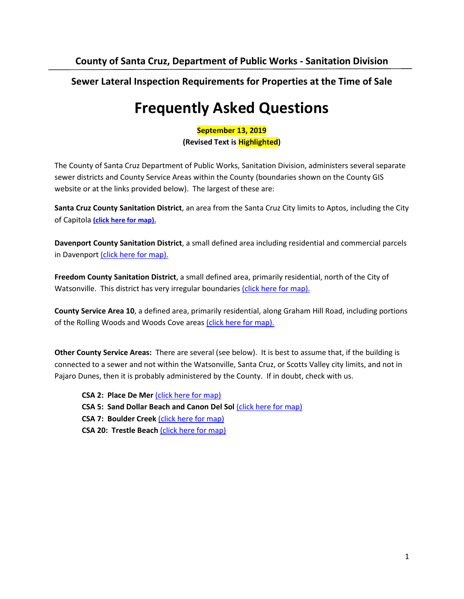**Sewer Lateral Inspection Requirements for Properties at the Time of Sale**

## **Frequently Asked Questions**

**September 13, 2019 (Revised Text is Highlighted)**

The County of Santa Cruz Department of Public Works, Sanitation Division, administers several separate sewer districts and County Service Areas within the County (boundaries shown on the County GIS website or at the links provided below). The largest of these are:

**Santa Cruz County Sanitation District**, an area from the Santa Cruz City limits to Aptos, including the City of Capitola **[\(click here for map\).](http://www.dpw.co.santa-cruz.ca.us/Portals/19/pdfs/Sanitation/Maps/sccsdmap.pdf)**

**Davenport County Sanitation District**, a small defined area including residential and commercial parcels in Davenport [\(click here for map\).](http://www.dpw.co.santa-cruz.ca.us/Portals/19/pdfs/Sanitation/Maps/DCSDmap.pdf)

**Freedom County Sanitation District**, a small defined area, primarily residential, north of the City of Watsonville. This district has very irregular boundaries [\(click here for map\).](http://www.dpw.co.santa-cruz.ca.us/Portals/19/pdfs/Sanitation/Maps/FCSDmap.pdf)

**County Service Area 10**, a defined area, primarily residential, along Graham Hill Road, including portions of the Rolling Woods and Woods Cove areas [\(click here for map\).](http://www.dpw.co.santa-cruz.ca.us/Portals/19/pdfs/Sanitation/Maps/CSA10map.pdf)

**Other County Service Areas:** There are several (see below). It is best to assume that, if the building is connected to a sewer and not within the Watsonville, Santa Cruz, or Scotts Valley city limits, and not in Pajaro Dunes, then it is probably administered by the County. If in doubt, check with us.

- **CSA 2: Place De Mer** [\(click here for map\)](http://www.dpw.co.santa-cruz.ca.us/Portals/19/pdfs/Sanitation/Maps/CSA2map.pdf)
- **CSA 5: Sand Dollar Beach and Canon Del Sol** [\(click here for map\)](http://www.dpw.co.santa-cruz.ca.us/Portals/19/pdfs/Sanitation/Maps/CSA5map.pdf)
- **CSA 7: Boulder Creek** [\(click here for map\)](http://www.dpw.co.santa-cruz.ca.us/Portals/19/pdfs/Sanitation/Maps/CSA7map.pdf)
- **CSA 20: Trestle Beach [\(click here for map\)](http://www.dpw.co.santa-cruz.ca.us/Portals/19/pdfs/Sanitation/Maps/CSA20map.pdf)**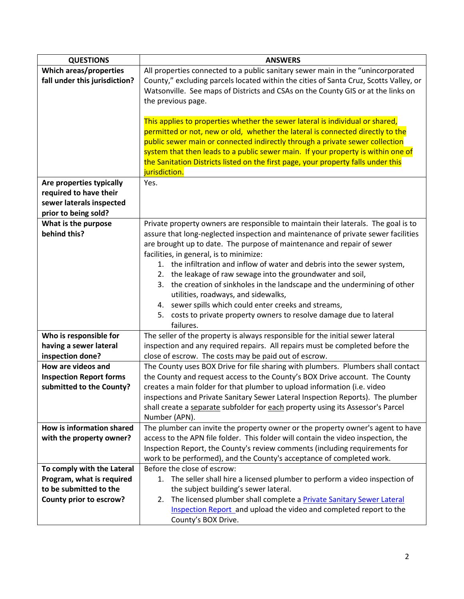| <b>ANSWERS</b>                                                                                                                                                   |
|------------------------------------------------------------------------------------------------------------------------------------------------------------------|
| All properties connected to a public sanitary sewer main in the "unincorporated                                                                                  |
| County," excluding parcels located within the cities of Santa Cruz, Scotts Valley, or                                                                            |
| Watsonville. See maps of Districts and CSAs on the County GIS or at the links on                                                                                 |
| the previous page.                                                                                                                                               |
|                                                                                                                                                                  |
| This applies to properties whether the sewer lateral is individual or shared,                                                                                    |
| permitted or not, new or old, whether the lateral is connected directly to the                                                                                   |
| public sewer main or connected indirectly through a private sewer collection<br>system that then leads to a public sewer main. If your property is within one of |
| the Sanitation Districts listed on the first page, your property falls under this                                                                                |
| jurisdiction.                                                                                                                                                    |
| Yes.                                                                                                                                                             |
|                                                                                                                                                                  |
|                                                                                                                                                                  |
|                                                                                                                                                                  |
| Private property owners are responsible to maintain their laterals. The goal is to                                                                               |
| assure that long-neglected inspection and maintenance of private sewer facilities                                                                                |
| are brought up to date. The purpose of maintenance and repair of sewer                                                                                           |
| facilities, in general, is to minimize:                                                                                                                          |
| 1. the infiltration and inflow of water and debris into the sewer system,                                                                                        |
| 2. the leakage of raw sewage into the groundwater and soil,                                                                                                      |
| 3. the creation of sinkholes in the landscape and the undermining of other                                                                                       |
| utilities, roadways, and sidewalks,                                                                                                                              |
| 4. sewer spills which could enter creeks and streams,                                                                                                            |
| 5. costs to private property owners to resolve damage due to lateral<br>failures.                                                                                |
| The seller of the property is always responsible for the initial sewer lateral                                                                                   |
| inspection and any required repairs. All repairs must be completed before the                                                                                    |
| close of escrow. The costs may be paid out of escrow.                                                                                                            |
| The County uses BOX Drive for file sharing with plumbers. Plumbers shall contact                                                                                 |
| the County and request access to the County's BOX Drive account. The County                                                                                      |
| creates a main folder for that plumber to upload information (i.e. video                                                                                         |
| inspections and Private Sanitary Sewer Lateral Inspection Reports). The plumber                                                                                  |
| shall create a separate subfolder for each property using its Assessor's Parcel                                                                                  |
| Number (APN).                                                                                                                                                    |
| The plumber can invite the property owner or the property owner's agent to have                                                                                  |
| access to the APN file folder. This folder will contain the video inspection, the                                                                                |
| Inspection Report, the County's review comments (including requirements for                                                                                      |
| work to be performed), and the County's acceptance of completed work.                                                                                            |
| Before the close of escrow:                                                                                                                                      |
| 1. The seller shall hire a licensed plumber to perform a video inspection of                                                                                     |
| the subject building's sewer lateral.<br>The licensed plumber shall complete a <b>Private Sanitary Sewer Lateral</b><br>2.                                       |
| Inspection Report and upload the video and completed report to the                                                                                               |
| County's BOX Drive.                                                                                                                                              |
|                                                                                                                                                                  |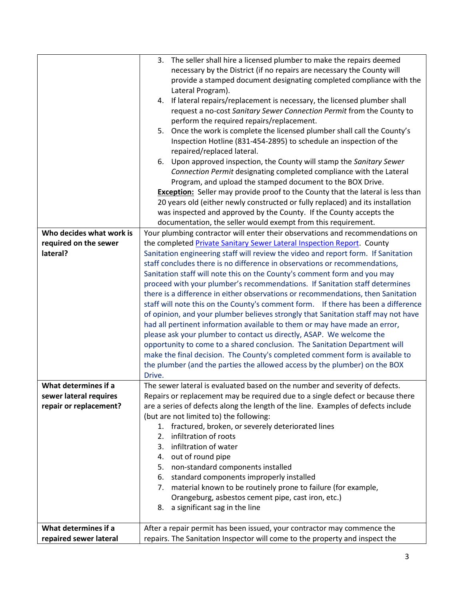|                          | 3. The seller shall hire a licensed plumber to make the repairs deemed                 |
|--------------------------|----------------------------------------------------------------------------------------|
|                          | necessary by the District (if no repairs are necessary the County will                 |
|                          | provide a stamped document designating completed compliance with the                   |
|                          | Lateral Program).                                                                      |
|                          | If lateral repairs/replacement is necessary, the licensed plumber shall<br>4.          |
|                          | request a no-cost Sanitary Sewer Connection Permit from the County to                  |
|                          | perform the required repairs/replacement.                                              |
|                          | Once the work is complete the licensed plumber shall call the County's<br>5.           |
|                          | Inspection Hotline (831-454-2895) to schedule an inspection of the                     |
|                          | repaired/replaced lateral.                                                             |
|                          | Upon approved inspection, the County will stamp the Sanitary Sewer<br>6.               |
|                          | Connection Permit designating completed compliance with the Lateral                    |
|                          | Program, and upload the stamped document to the BOX Drive.                             |
|                          | <b>Exception:</b> Seller may provide proof to the County that the lateral is less than |
|                          | 20 years old (either newly constructed or fully replaced) and its installation         |
|                          | was inspected and approved by the County. If the County accepts the                    |
|                          | documentation, the seller would exempt from this requirement.                          |
| Who decides what work is | Your plumbing contractor will enter their observations and recommendations on          |
| required on the sewer    | the completed Private Sanitary Sewer Lateral Inspection Report. County                 |
| lateral?                 | Sanitation engineering staff will review the video and report form. If Sanitation      |
|                          | staff concludes there is no difference in observations or recommendations,             |
|                          | Sanitation staff will note this on the County's comment form and you may               |
|                          | proceed with your plumber's recommendations. If Sanitation staff determines            |
|                          | there is a difference in either observations or recommendations, then Sanitation       |
|                          | staff will note this on the County's comment form. If there has been a difference      |
|                          | of opinion, and your plumber believes strongly that Sanitation staff may not have      |
|                          | had all pertinent information available to them or may have made an error,             |
|                          | please ask your plumber to contact us directly, ASAP. We welcome the                   |
|                          | opportunity to come to a shared conclusion. The Sanitation Department will             |
|                          | make the final decision. The County's completed comment form is available to           |
|                          | the plumber (and the parties the allowed access by the plumber) on the BOX             |
|                          | Drive.                                                                                 |
| What determines if a     | The sewer lateral is evaluated based on the number and severity of defects.            |
| sewer lateral requires   | Repairs or replacement may be required due to a single defect or because there         |
| repair or replacement?   | are a series of defects along the length of the line. Examples of defects include      |
|                          | (but are not limited to) the following:                                                |
|                          | 1. fractured, broken, or severely deteriorated lines<br>infiltration of roots<br>2.    |
|                          | 3. infiltration of water                                                               |
|                          | 4. out of round pipe                                                                   |
|                          | 5. non-standard components installed                                                   |
|                          | standard components improperly installed<br>6.                                         |
|                          | material known to be routinely prone to failure (for example,<br>7.                    |
|                          | Orangeburg, asbestos cement pipe, cast iron, etc.)                                     |
|                          | 8. a significant sag in the line                                                       |
|                          |                                                                                        |
| What determines if a     | After a repair permit has been issued, your contractor may commence the                |
| repaired sewer lateral   | repairs. The Sanitation Inspector will come to the property and inspect the            |
|                          |                                                                                        |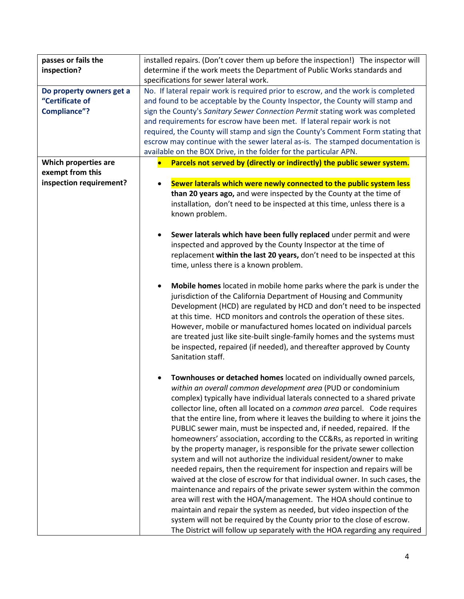| passes or fails the      | installed repairs. (Don't cover them up before the inspection!) The inspector will |
|--------------------------|------------------------------------------------------------------------------------|
| inspection?              | determine if the work meets the Department of Public Works standards and           |
|                          | specifications for sewer lateral work.                                             |
| Do property owners get a | No. If lateral repair work is required prior to escrow, and the work is completed  |
| "Certificate of          | and found to be acceptable by the County Inspector, the County will stamp and      |
|                          |                                                                                    |
| <b>Compliance"?</b>      | sign the County's Sanitary Sewer Connection Permit stating work was completed      |
|                          | and requirements for escrow have been met. If lateral repair work is not           |
|                          | required, the County will stamp and sign the County's Comment Form stating that    |
|                          | escrow may continue with the sewer lateral as-is. The stamped documentation is     |
|                          | available on the BOX Drive, in the folder for the particular APN.                  |
| Which properties are     | Parcels not served by (directly or indirectly) the public sewer system.            |
| exempt from this         |                                                                                    |
| inspection requirement?  | Sewer laterals which were newly connected to the public system less<br>$\bullet$   |
|                          | than 20 years ago, and were inspected by the County at the time of                 |
|                          | installation, don't need to be inspected at this time, unless there is a           |
|                          | known problem.                                                                     |
|                          |                                                                                    |
|                          | Sewer laterals which have been fully replaced under permit and were<br>$\bullet$   |
|                          | inspected and approved by the County Inspector at the time of                      |
|                          |                                                                                    |
|                          | replacement within the last 20 years, don't need to be inspected at this           |
|                          | time, unless there is a known problem.                                             |
|                          |                                                                                    |
|                          | Mobile homes located in mobile home parks where the park is under the<br>$\bullet$ |
|                          | jurisdiction of the California Department of Housing and Community                 |
|                          | Development (HCD) are regulated by HCD and don't need to be inspected              |
|                          | at this time. HCD monitors and controls the operation of these sites.              |
|                          | However, mobile or manufactured homes located on individual parcels                |
|                          | are treated just like site-built single-family homes and the systems must          |
|                          | be inspected, repaired (if needed), and thereafter approved by County              |
|                          | Sanitation staff.                                                                  |
|                          |                                                                                    |
|                          | Townhouses or detached homes located on individually owned parcels,                |
|                          | within an overall common development area (PUD or condominium                      |
|                          | complex) typically have individual laterals connected to a shared private          |
|                          | collector line, often all located on a common area parcel. Code requires           |
|                          |                                                                                    |
|                          | that the entire line, from where it leaves the building to where it joins the      |
|                          | PUBLIC sewer main, must be inspected and, if needed, repaired. If the              |
|                          | homeowners' association, according to the CC&Rs, as reported in writing            |
|                          | by the property manager, is responsible for the private sewer collection           |
|                          | system and will not authorize the individual resident/owner to make                |
|                          | needed repairs, then the requirement for inspection and repairs will be            |
|                          | waived at the close of escrow for that individual owner. In such cases, the        |
|                          | maintenance and repairs of the private sewer system within the common              |
|                          | area will rest with the HOA/management. The HOA should continue to                 |
|                          | maintain and repair the system as needed, but video inspection of the              |
|                          | system will not be required by the County prior to the close of escrow.            |
|                          |                                                                                    |
|                          | The District will follow up separately with the HOA regarding any required         |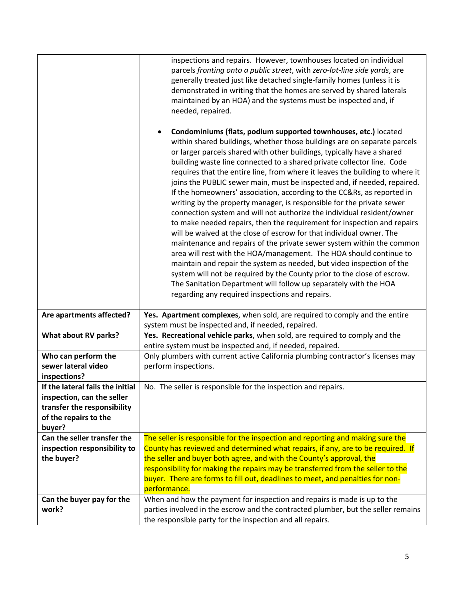|                                                                                                                                  | inspections and repairs. However, townhouses located on individual<br>parcels fronting onto a public street, with zero-lot-line side yards, are<br>generally treated just like detached single-family homes (unless it is<br>demonstrated in writing that the homes are served by shared laterals<br>maintained by an HOA) and the systems must be inspected and, if<br>needed, repaired.<br>Condominiums (flats, podium supported townhouses, etc.) located<br>$\bullet$<br>within shared buildings, whether those buildings are on separate parcels<br>or larger parcels shared with other buildings, typically have a shared<br>building waste line connected to a shared private collector line. Code<br>requires that the entire line, from where it leaves the building to where it<br>joins the PUBLIC sewer main, must be inspected and, if needed, repaired.<br>If the homeowners' association, according to the CC&Rs, as reported in<br>writing by the property manager, is responsible for the private sewer<br>connection system and will not authorize the individual resident/owner<br>to make needed repairs, then the requirement for inspection and repairs<br>will be waived at the close of escrow for that individual owner. The<br>maintenance and repairs of the private sewer system within the common<br>area will rest with the HOA/management. The HOA should continue to<br>maintain and repair the system as needed, but video inspection of the<br>system will not be required by the County prior to the close of escrow.<br>The Sanitation Department will follow up separately with the HOA<br>regarding any required inspections and repairs. |
|----------------------------------------------------------------------------------------------------------------------------------|---------------------------------------------------------------------------------------------------------------------------------------------------------------------------------------------------------------------------------------------------------------------------------------------------------------------------------------------------------------------------------------------------------------------------------------------------------------------------------------------------------------------------------------------------------------------------------------------------------------------------------------------------------------------------------------------------------------------------------------------------------------------------------------------------------------------------------------------------------------------------------------------------------------------------------------------------------------------------------------------------------------------------------------------------------------------------------------------------------------------------------------------------------------------------------------------------------------------------------------------------------------------------------------------------------------------------------------------------------------------------------------------------------------------------------------------------------------------------------------------------------------------------------------------------------------------------------------------------------------------------------------------------------------------------------|
| Are apartments affected?                                                                                                         | Yes. Apartment complexes, when sold, are required to comply and the entire<br>system must be inspected and, if needed, repaired.                                                                                                                                                                                                                                                                                                                                                                                                                                                                                                                                                                                                                                                                                                                                                                                                                                                                                                                                                                                                                                                                                                                                                                                                                                                                                                                                                                                                                                                                                                                                                |
| What about RV parks?                                                                                                             | Yes. Recreational vehicle parks, when sold, are required to comply and the<br>entire system must be inspected and, if needed, repaired.                                                                                                                                                                                                                                                                                                                                                                                                                                                                                                                                                                                                                                                                                                                                                                                                                                                                                                                                                                                                                                                                                                                                                                                                                                                                                                                                                                                                                                                                                                                                         |
| Who can perform the                                                                                                              | Only plumbers with current active California plumbing contractor's licenses may                                                                                                                                                                                                                                                                                                                                                                                                                                                                                                                                                                                                                                                                                                                                                                                                                                                                                                                                                                                                                                                                                                                                                                                                                                                                                                                                                                                                                                                                                                                                                                                                 |
| sewer lateral video<br>inspections?                                                                                              | perform inspections.                                                                                                                                                                                                                                                                                                                                                                                                                                                                                                                                                                                                                                                                                                                                                                                                                                                                                                                                                                                                                                                                                                                                                                                                                                                                                                                                                                                                                                                                                                                                                                                                                                                            |
| If the lateral fails the initial<br>inspection, can the seller<br>transfer the responsibility<br>of the repairs to the<br>buyer? | No. The seller is responsible for the inspection and repairs.                                                                                                                                                                                                                                                                                                                                                                                                                                                                                                                                                                                                                                                                                                                                                                                                                                                                                                                                                                                                                                                                                                                                                                                                                                                                                                                                                                                                                                                                                                                                                                                                                   |
| Can the seller transfer the<br>inspection responsibility to<br>the buyer?                                                        | The seller is responsible for the inspection and reporting and making sure the<br>County has reviewed and determined what repairs, if any, are to be required. If<br>the seller and buyer both agree, and with the County's approval, the<br>responsibility for making the repairs may be transferred from the seller to the<br>buyer. There are forms to fill out, deadlines to meet, and penalties for non-<br>performance.                                                                                                                                                                                                                                                                                                                                                                                                                                                                                                                                                                                                                                                                                                                                                                                                                                                                                                                                                                                                                                                                                                                                                                                                                                                   |
| Can the buyer pay for the<br>work?                                                                                               | When and how the payment for inspection and repairs is made is up to the<br>parties involved in the escrow and the contracted plumber, but the seller remains<br>the responsible party for the inspection and all repairs.                                                                                                                                                                                                                                                                                                                                                                                                                                                                                                                                                                                                                                                                                                                                                                                                                                                                                                                                                                                                                                                                                                                                                                                                                                                                                                                                                                                                                                                      |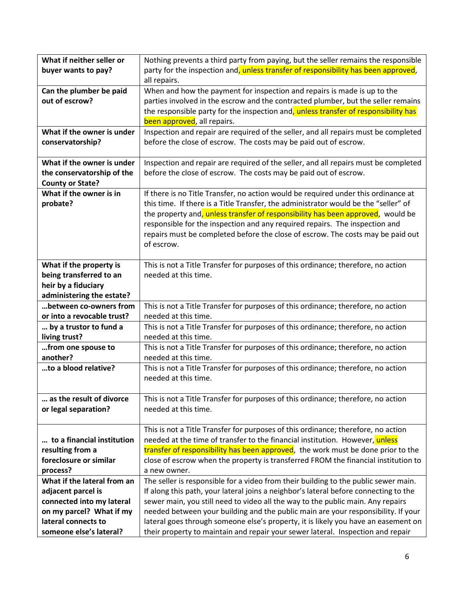| What if neither seller or        | Nothing prevents a third party from paying, but the seller remains the responsible                        |
|----------------------------------|-----------------------------------------------------------------------------------------------------------|
| buyer wants to pay?              | party for the inspection and, unless transfer of responsibility has been approved,                        |
|                                  | all repairs.                                                                                              |
| Can the plumber be paid          | When and how the payment for inspection and repairs is made is up to the                                  |
| out of escrow?                   | parties involved in the escrow and the contracted plumber, but the seller remains                         |
|                                  | the responsible party for the inspection and, unless transfer of responsibility has                       |
|                                  | been approved, all repairs.                                                                               |
| What if the owner is under       | Inspection and repair are required of the seller, and all repairs must be completed                       |
| conservatorship?                 | before the close of escrow. The costs may be paid out of escrow.                                          |
|                                  |                                                                                                           |
| What if the owner is under       | Inspection and repair are required of the seller, and all repairs must be completed                       |
| the conservatorship of the       | before the close of escrow. The costs may be paid out of escrow.                                          |
| <b>County or State?</b>          |                                                                                                           |
| What if the owner is in          | If there is no Title Transfer, no action would be required under this ordinance at                        |
| probate?                         | this time. If there is a Title Transfer, the administrator would be the "seller" of                       |
|                                  | the property and, unless transfer of responsibility has been approved, would be                           |
|                                  | responsible for the inspection and any required repairs. The inspection and                               |
|                                  | repairs must be completed before the close of escrow. The costs may be paid out                           |
|                                  | of escrow.                                                                                                |
|                                  |                                                                                                           |
| What if the property is          | This is not a Title Transfer for purposes of this ordinance; therefore, no action                         |
| being transferred to an          | needed at this time.                                                                                      |
| heir by a fiduciary              |                                                                                                           |
| administering the estate?        |                                                                                                           |
| between co-owners from           | This is not a Title Transfer for purposes of this ordinance; therefore, no action                         |
| or into a revocable trust?       | needed at this time.                                                                                      |
| by a trustor to fund a           | This is not a Title Transfer for purposes of this ordinance; therefore, no action                         |
| living trust?                    | needed at this time.                                                                                      |
| from one spouse to               | This is not a Title Transfer for purposes of this ordinance; therefore, no action                         |
| another?<br>to a blood relative? | needed at this time.                                                                                      |
|                                  | This is not a Title Transfer for purposes of this ordinance; therefore, no action<br>needed at this time. |
|                                  |                                                                                                           |
| as the result of divorce         | This is not a Title Transfer for purposes of this ordinance; therefore, no action                         |
| or legal separation?             | needed at this time.                                                                                      |
|                                  |                                                                                                           |
|                                  | This is not a Title Transfer for purposes of this ordinance; therefore, no action                         |
| to a financial institution       | needed at the time of transfer to the financial institution. However, unless                              |
| resulting from a                 | transfer of responsibility has been approved, the work must be done prior to the                          |
| foreclosure or similar           | close of escrow when the property is transferred FROM the financial institution to                        |
| process?                         | a new owner.                                                                                              |
| What if the lateral from an      | The seller is responsible for a video from their building to the public sewer main.                       |
| adjacent parcel is               | If along this path, your lateral joins a neighbor's lateral before connecting to the                      |
| connected into my lateral        | sewer main, you still need to video all the way to the public main. Any repairs                           |
| on my parcel? What if my         | needed between your building and the public main are your responsibility. If your                         |
| lateral connects to              | lateral goes through someone else's property, it is likely you have an easement on                        |
| someone else's lateral?          | their property to maintain and repair your sewer lateral. Inspection and repair                           |